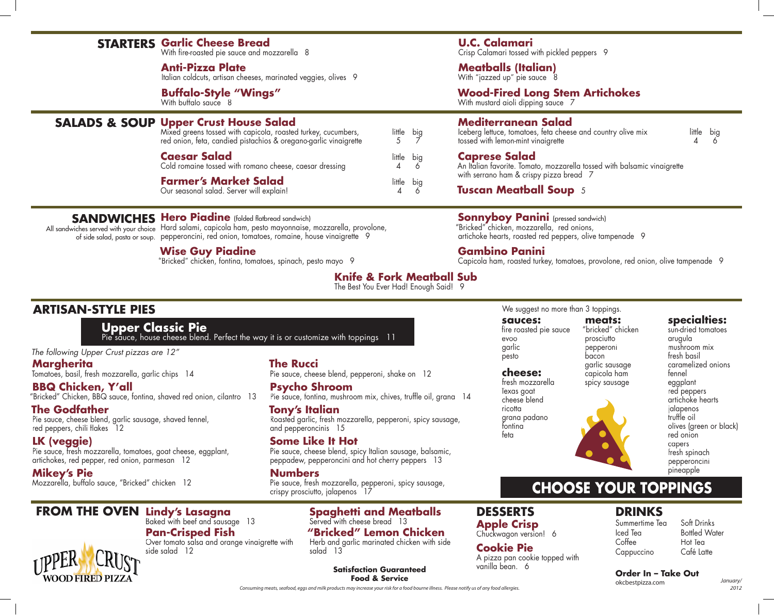# **STARTERS Garlic Cheese Bread**

With fire-roasted pie sauce and mozzarella 8

#### **Anti-Pizza Plate**

Italian coldcuts, artisan cheeses, marinated veggies, olives 9

**Buffalo-Style "Wings"** With buffalo sauce 8

## **Upper Crust House Salad SALADS & SOUP**

Mixed greens tossed with capicola, roasted turkey, cucumbers, little big red onion, feta, candied pistachios & oregano-garlic vinaigrette  $\overrightarrow{5}$   $\overrightarrow{7}$ 

| <b>Caesar Salad</b><br>Cold romaine tossed with romano cheese, caesar dressing | little big |  |
|--------------------------------------------------------------------------------|------------|--|
| <b>Farmer's Market Salad</b><br>Our seasonal salad. Server will explain!       | little big |  |

# **SANDWICHES Hero Piadine** (folded flatbread sandwich)

All sandwiches served with your choice Hard salami, capicola ham, pesto mayonnaise, mozzarella, provolone, of side salad, pasta or soup. pepperoncini, red onion, tomatoes, romaine, house vinaigrette 9

#### **Wise Guy Piadine**

Baked with beef and sausage 13

Over tomato salsa and orange vinaigrette with

**Pan-Crisped Fish**

side salad 12

"Bricked" chicken, fontina, tomatoes, spinach, pesto mayo 9

## **U.C. Calamari**

Crisp Calamari tossed with pickled peppers 9

#### **Meatballs (Italian)**

With "jazzed up" pie sauce 8

#### **Wood-Fired Long Stem Artichokes**

With mustard aioli dipping sauce 7

## **Mediterranean Salad**

Iceberg lettuce, tomatoes, feta cheese and country olive mix little big tossed with lemon-mint vinaigrette 4 6

#### **Caprese Salad**

An Italian favorite. Tomato, mozzarella tossed with balsamic vinaigrette with serrano ham & crispy pizza bread 7

**Tuscan Meatball Soup** 5

## **Sonnyboy Panini** (pressed sandwich)

"Bricked" chicken, mozzarella, red onions, artichoke hearts, roasted red peppers, olive tampenade 9

#### **Gambino Panini**

Capicola ham, roasted turkey, tomatoes, provolone, red onion, olive tampenade 9

# **Knife & Fork Meatball Sub**

The Best You Ever Had! Enough Said! 9

# **ARTISAN-STYLE PIES**

**Upper Classic Pie** Pie sauce, house cheese blend. Perfect the way it is or customize with toppings 11

*The following Upper Crust pizzas are 12"*

**Margherita** Tomatoes, basil, fresh mozzarella, garlic chips 14

**BBQ Chicken, Y'all** "Bricked" Chicken, BBQ sauce, fontina, shaved red onion, cilantro 13

**The Godfather** Pie sauce, cheese blend, garlic sausage, shaved fennel, red peppers, chili flakes 12

**LK (veggie)** Pie sauce, fresh mozzarella, tomatoes, goat cheese, eggplant, artichokes, red pepper, red onion, parmesan 12

**Mikey's Pie** Mozzarella, buffalo sauce, "Bricked" chicken 12 **The Rucci** Pie sauce, cheese blend, pepperoni, shake on 12

**Psycho Shroom** Pie sauce, fontina, mushroom mix, chives, truffle oil, grana 14

**Tony's Italian** Roasted garlic, fresh mozzarella, pepperoni, spicy sausage, and pepperoncinis 15

#### **Some Like It Hot**

Pie sauce, cheese blend, spicy Italian sausage, balsamic, peppadew, pepperoncini and hot cherry peppers 13

**Numbers**

Pie sauce, fresh mozzarella, pepperoni, spicy sausage, crispy prosciutto, jalapenos 17

#### **Lindy's Lasagna FROM THE OVEN DESSERTS Spaghetti and Meatballs** Served with cheese bread 13 **"Bricked" Lemon Chicken** Herb and garlic marinated chicken with side

salad 13

# **DRINKS CHOOSE YOUR TOPPINGS**

Summertime Tea Iced Tea Coffee Cappuccino

Soft Drinks Bottled Water Hot Tea Café Latte

okcbestpizza.com

*January/*

*2012*

**WOOD FIRED PIZZA** 

**Satisfaction Guaranteed Food & Service Order In – Take Out**

#### **sauces: meats:** We suggest no more than 3 toppings.

fire roasted pie sauce evoo garlic pesto **cheese:** fresh mozzarella

Texas goat cheese blend ricotta grana padano fontina feta

**Cookie Pie**

vanilla bean. 6

A pizza pan cookie topped with

#### "bricked" chicken prosciutto pepperoni bacon garlic sausage

capicola ham spicy sausage mushroom mix fresh basil caramelized onions fennel eggplant red peppers jalapenos truffle oil red onion

pineapple

arugula

artichoke hearts olives (green or black) capers fresh spinach pepperoncini

**specialties:** sun-dried tomatoes

# **Apple Crisp** Chuckwagon version! 6